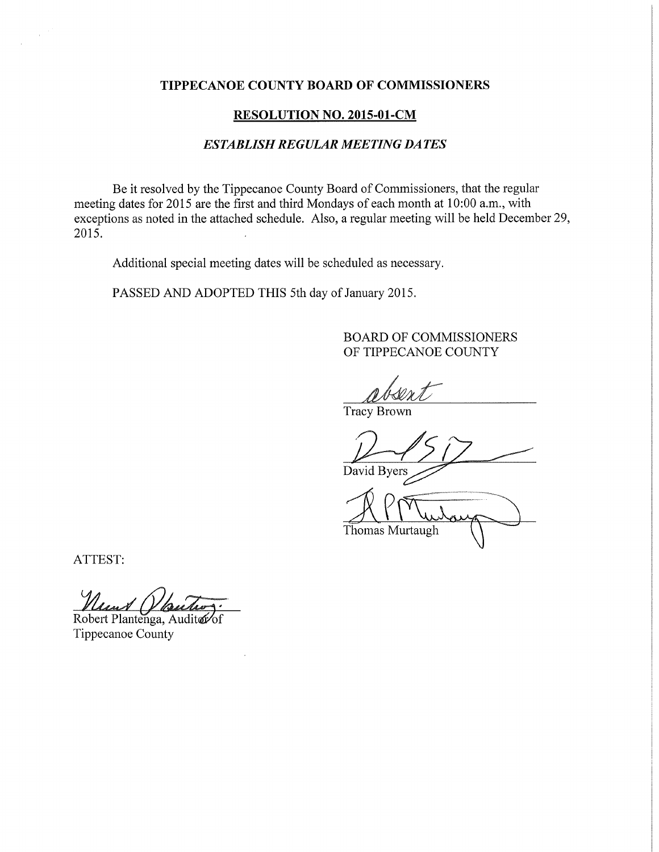## TIPPECANOE COUNTY BOARD OF COMMISSIONERS

## RESOLUTION NO. 2015-01-CM

## ESTABLISH REGULAR MEETING DATES

Be it resolved by the Tippecanoe County Board of Commissioners, that the regular meeting dates for 2015 are the first and third Mondays of each month at 10:00 am, with exceptions as noted in the attached schedule. Also, <sup>a</sup> regular meeting will be held December 29, 2015.

Additional special meeting dates will be scheduled as necessary.

PASSED AND ADOPTED THIS 5th day of January 2015.

BOARD OF COMMISSIONERS OF TIPPECANOE COUNTY

**Tracy Brown** 

David Byers

Thomas Murtaugh

ATTEST:

 $\mathcal{L}$ 

reast (

Robert Plantenga, Auditer of Tippecanoe County